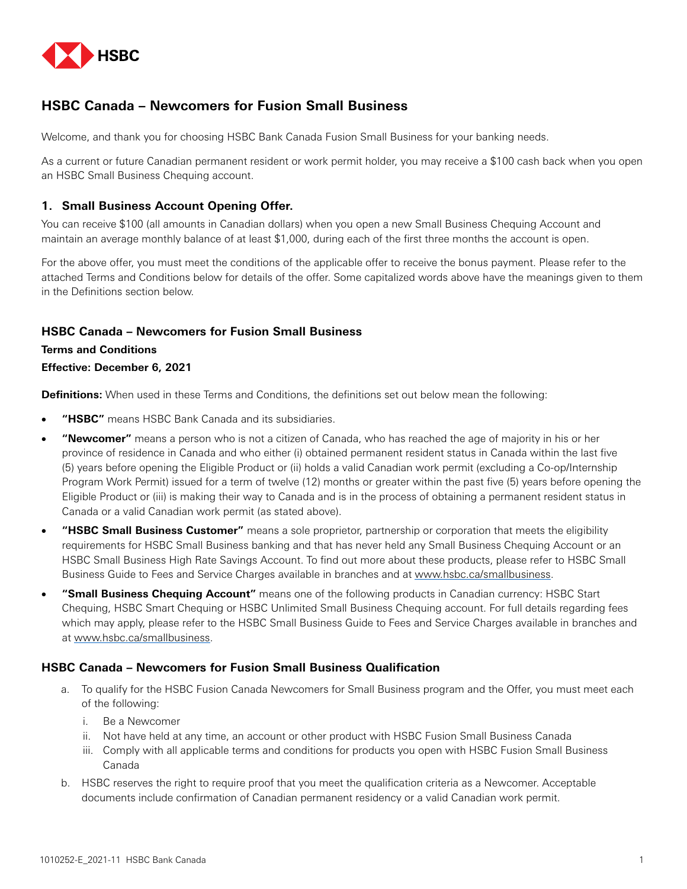

# **HSBC Canada – Newcomers for Fusion Small Business**

Welcome, and thank you for choosing HSBC Bank Canada Fusion Small Business for your banking needs.

As a current or future Canadian permanent resident or work permit holder, you may receive a \$100 cash back when you open an HSBC Small Business Chequing account.

### **1. Small Business Account Opening Offer.**

You can receive \$100 (all amounts in Canadian dollars) when you open a new Small Business Chequing Account and maintain an average monthly balance of at least \$1,000, during each of the first three months the account is open.

For the above offer, you must meet the conditions of the applicable offer to receive the bonus payment. Please refer to the attached Terms and Conditions below for details of the offer. Some capitalized words above have the meanings given to them in the Definitions section below.

## **HSBC Canada – Newcomers for Fusion Small Business**

### **Terms and Conditions**

### **Effective: December 6, 2021**

**Definitions:** When used in these Terms and Conditions, the definitions set out below mean the following:

- "HSBC" means HSBC Bank Canada and its subsidiaries.
- "Newcomer" means a person who is not a citizen of Canada, who has reached the age of majority in his or her province of residence in Canada and who either (i) obtained permanent resident status in Canada within the last five (5) years before opening the Eligible Product or (ii) holds a valid Canadian work permit (excluding a Co-op/Internship Program Work Permit) issued for a term of twelve (12) months or greater within the past five (5) years before opening the Eligible Product or (iii) is making their way to Canada and is in the process of obtaining a permanent resident status in Canada or a valid Canadian work permit (as stated above).
- • **"HSBC Small Business Customer"** means a sole proprietor, partnership or corporation that meets the eligibility requirements for HSBC Small Business banking and that has never held any Small Business Chequing Account or an HSBC Small Business High Rate Savings Account. To find out more about these products, please refer to HSBC Small Business Guide to Fees and Service Charges available in branches and at [www.hsbc.ca/smallbusiness.](http://www.hsbc.ca/smallbusiness)
- • **"Small Business Chequing Account"** means one of the following products in Canadian currency: HSBC Start Chequing, HSBC Smart Chequing or HSBC Unlimited Small Business Chequing account. For full details regarding fees which may apply, please refer to the HSBC Small Business Guide to Fees and Service Charges available in branches and at [www.hsbc.ca/smallbusiness](http://www.hsbc.ca/smallbusiness).

### **HSBC Canada – Newcomers for Fusion Small Business Qualification**

- a. To qualify for the HSBC Fusion Canada Newcomers for Small Business program and the Offer, you must meet each of the following:
	- i. Be a Newcomer
	- ii. Not have held at any time, an account or other product with HSBC Fusion Small Business Canada
	- iii. Comply with all applicable terms and conditions for products you open with HSBC Fusion Small Business Canada
- b. HSBC reserves the right to require proof that you meet the qualification criteria as a Newcomer. Acceptable documents include confirmation of Canadian permanent residency or a valid Canadian work permit.